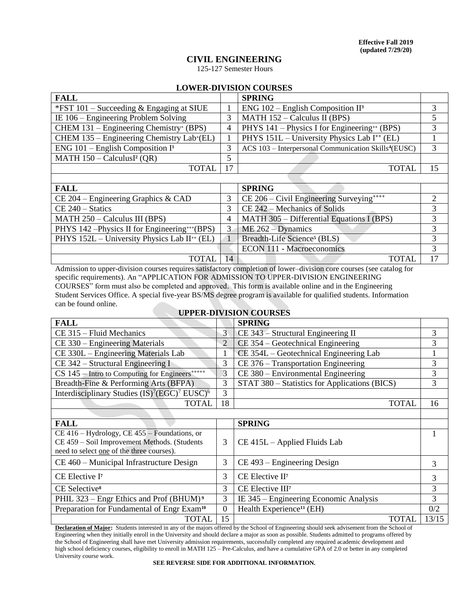# **CIVIL ENGINEERING**

125-127 Semester Hours

## **LOWER-DIVISION COURSES**

| <b>FALL</b>                                                                         |                        | <b>SPRING</b>                                                    |        |
|-------------------------------------------------------------------------------------|------------------------|------------------------------------------------------------------|--------|
| *FST $101$ – Succeeding & Engaging at SIUE                                          |                        | ENG $102$ – English Composition II <sup>3</sup>                  |        |
| IE $106$ – Engineering Problem Solving                                              |                        | MATH $152 -$ Calculus II (BPS)                                   |        |
| $CHEM$ 131 – Engineering Chemistry <sup>+</sup> (BPS)                               | 4                      | PHYS 141 – Physics I for Engineering <sup>++</sup> (BPS)         |        |
| CHEM 135 – Engineering Chemistry Lab+(EL)                                           |                        | PHYS 151L - University Physics Lab I <sup>++</sup> (EL)          |        |
| ENG $101$ – English Composition I <sup>1</sup>                                      | 3                      | ACS 103 - Interpersonal Communication Skills <sup>4</sup> (EUSC) |        |
| MATH $150 -$ CalculusI <sup>2</sup> (QR)                                            | 5                      |                                                                  |        |
| <b>TOTAL</b>                                                                        | 17                     | <b>TOTAL</b>                                                     | 15     |
|                                                                                     |                        |                                                                  |        |
| <b>FALL</b>                                                                         |                        | <b>SPRING</b>                                                    |        |
| CE 204 – Engineering Graphics & CAD                                                 | 3                      | CE 206 – Civil Engineering Surveying****                         | 2      |
| $CE 240 - Statistics$                                                               | 3                      | CE 242 – Mechanics of Solids                                     |        |
| $MATH 250 - Calculus III (BPS)$                                                     | 4                      | MATH 305 – Differential Equations I (BPS)                        |        |
| $P(11170 \pm 100)$ $P(1110 \pm 1100)$<br>$\mathbf{r} = \mathbf{r} \cdot \mathbf{r}$ | $\mathbf{F}$<br>$\sim$ |                                                                  | $\sim$ |

| <b>FALL</b>                                                |    | <b>SPRING</b>                                           |    |
|------------------------------------------------------------|----|---------------------------------------------------------|----|
| CE 204 – Engineering Graphics & CAD                        |    | CE $206 -$ Civil Engineering Surveying <sup>*****</sup> |    |
| $CE 240 - Statistics$                                      |    | $CE$ 242 – Mechanics of Solids                          |    |
| MATH $250 -$ Calculus III (BPS)                            |    | MATH $305$ – Differential Equations I (BPS)             |    |
| PHYS 142 – Physics II for Engineering***(BPS)              |    | $ME 262 - Dynamics$                                     |    |
| PHYS $152L$ – University Physics Lab II <sup>++</sup> (EL) |    | Breadth-Life Science <sup>5</sup> (BLS)                 |    |
|                                                            |    | <b>ECON 111 - Macroeconomics</b>                        |    |
| TOTAL.                                                     | 14 | <b>TOTAL</b>                                            | 17 |
|                                                            |    |                                                         |    |

Admission to upper-division courses requires satisfactory completion of lower–division core courses (see catalog for specific requirements). An "APPLICATION FOR ADMISSION TO UPPER-DIVISION ENGINEERING COURSES" form must also be completed and approved. This form is available online and in the Engineering Student Services Office. A special five-year BS/MS degree program is available for qualified students. Information can be found online.

## **UPPER-DIVISION COURSES**

| <b>FALL</b>                                                               |                                                    | <b>SPRING</b>                        |    |
|---------------------------------------------------------------------------|----------------------------------------------------|--------------------------------------|----|
| CE 315 – Fluid Mechanics                                                  | 3 <sup>1</sup>                                     | $CE$ 343 – Structural Engineering II |    |
| CE 330 – Engineering Materials                                            | $\overline{2}$                                     | $CE$ 354 – Geotechnical Engineering  |    |
| CE 330L – Engineering Materials Lab                                       | CE 354L – Geotechnical Engineering Lab             |                                      |    |
| $CE$ 342 – Structural Engineering I                                       | 3                                                  | CE 376 – Transportation Engineering  |    |
| $CS$ 145 – Intro to Computing for Engineers <sup><math>***++</math></sup> | 3                                                  | $CE$ 380 – Environmental Engineering |    |
| Breadth-Fine & Performing Arts (BFPA)                                     | STAT 380 – Statistics for Applications (BICS)<br>3 |                                      | 3  |
| Interdisciplinary Studies $(IS)^7 (EGC)^7$ EUSC $)^6$                     | 3                                                  |                                      |    |
| <b>TOTAL</b>                                                              | 18                                                 | <b>TOTAL</b>                         | 16 |
|                                                                           |                                                    |                                      |    |
| <b>FALL</b>                                                               |                                                    | <b>SPRING</b>                        |    |
| $CE$ 416 – Hydrology, CE 455 – Foundations, or                            |                                                    |                                      |    |
| CE 459 - Soil Improvement Methods. (Students                              |                                                    | $CE$ 415L – Applied Fluids Lab       |    |
| need to solect one of the three courses)                                  |                                                    |                                      |    |

| need to select one of the three courses).                                                                                                              |          |                                          |       |       |
|--------------------------------------------------------------------------------------------------------------------------------------------------------|----------|------------------------------------------|-------|-------|
| $CE$ 460 – Municipal Infrastructure Design                                                                                                             |          | $CE$ 493 – Engineering Design            |       |       |
| CE Elective I <sup>7</sup>                                                                                                                             |          | $CE$ Elective $II7$                      |       |       |
| CE Selective <sup>8</sup>                                                                                                                              |          | CE Elective III <sup>7</sup>             |       |       |
| PHIL 323 – Engr Ethics and Prof (BHUM) <sup>9</sup>                                                                                                    |          | IE $345$ – Engineering Economic Analysis |       |       |
| Preparation for Fundamental of Engr Exam <sup>10</sup>                                                                                                 | $\Omega$ | Health Experience <sup>11</sup> (EH)     |       | 0/2   |
| <b>TOTAL</b>                                                                                                                                           | 15       |                                          | TOTAL | 13/15 |
| <b>Declaration of Majoru</b> , Students interacted in ony of the majors offered by the School of Engineering should seek edvisoment from the School of |          |                                          |       |       |

**Declaration of Major:** Students interested in any of the majors offered by the School of Engineering should seek advisement from the School of Engineering when they initially enroll in the University and should declare a major as soon as possible. Students admitted to programs offered by the School of Engineering shall have met University admission requirements, successfully completed any required academic development and high school deficiency courses, eligibility to enroll in MATH 125 – Pre-Calculus, and have a cumulative GPA of 2.0 or better in any completed University course work.

**SEE REVERSE SIDE FOR ADDITIONAL INFORMATION.**